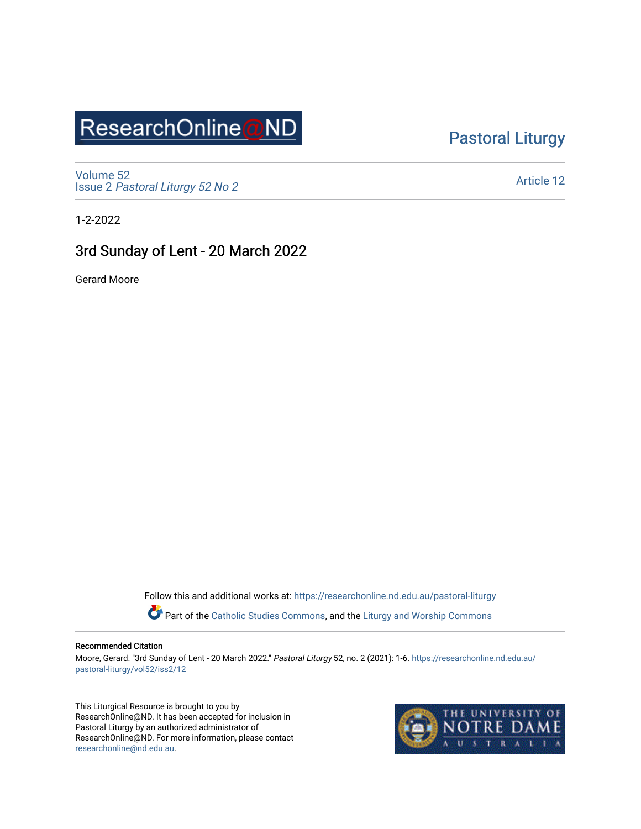## ResearchOnline@ND

### [Pastoral Liturgy](https://researchonline.nd.edu.au/pastoral-liturgy)

[Volume 52](https://researchonline.nd.edu.au/pastoral-liturgy/vol52) Issue 2 [Pastoral Liturgy 52 No 2](https://researchonline.nd.edu.au/pastoral-liturgy/vol52/iss2)

[Article 12](https://researchonline.nd.edu.au/pastoral-liturgy/vol52/iss2/12) 

1-2-2022

#### 3rd Sunday of Lent - 20 March 2022

Gerard Moore

Follow this and additional works at: [https://researchonline.nd.edu.au/pastoral-liturgy](https://researchonline.nd.edu.au/pastoral-liturgy?utm_source=researchonline.nd.edu.au%2Fpastoral-liturgy%2Fvol52%2Fiss2%2F12&utm_medium=PDF&utm_campaign=PDFCoverPages)

Part of the [Catholic Studies Commons,](http://network.bepress.com/hgg/discipline/1294?utm_source=researchonline.nd.edu.au%2Fpastoral-liturgy%2Fvol52%2Fiss2%2F12&utm_medium=PDF&utm_campaign=PDFCoverPages) and the Liturgy and Worship Commons

#### Recommended Citation

Moore, Gerard. "3rd Sunday of Lent - 20 March 2022." Pastoral Liturgy 52, no. 2 (2021): 1-6. [https://researchonline.nd.edu.au/](https://researchonline.nd.edu.au/pastoral-liturgy/vol52/iss2/12?utm_source=researchonline.nd.edu.au%2Fpastoral-liturgy%2Fvol52%2Fiss2%2F12&utm_medium=PDF&utm_campaign=PDFCoverPages) [pastoral-liturgy/vol52/iss2/12](https://researchonline.nd.edu.au/pastoral-liturgy/vol52/iss2/12?utm_source=researchonline.nd.edu.au%2Fpastoral-liturgy%2Fvol52%2Fiss2%2F12&utm_medium=PDF&utm_campaign=PDFCoverPages) 

This Liturgical Resource is brought to you by ResearchOnline@ND. It has been accepted for inclusion in Pastoral Liturgy by an authorized administrator of ResearchOnline@ND. For more information, please contact [researchonline@nd.edu.au.](mailto:researchonline@nd.edu.au)

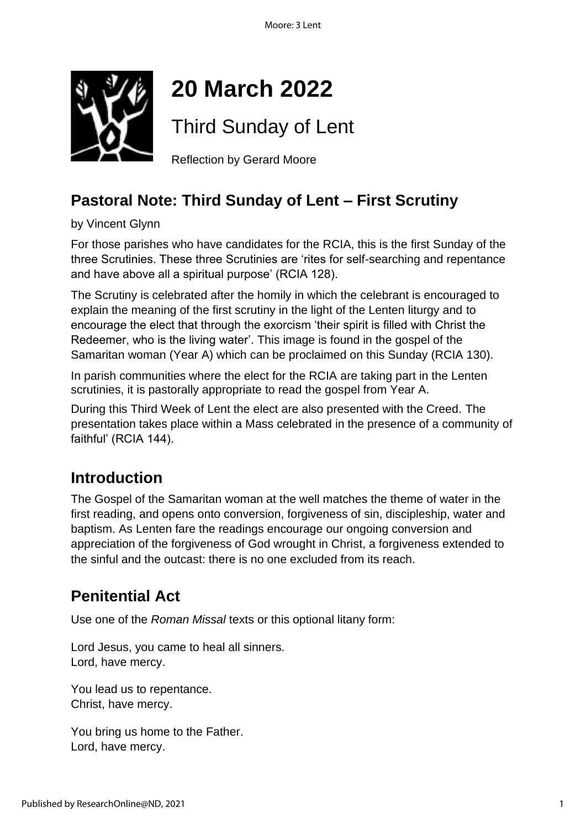

# **20 March 2022**

Third Sunday of Lent

Reflection by Gerard Moore

### **Pastoral Note: Third Sunday of Lent – First Scrutiny**

by Vincent Glynn

For those parishes who have candidates for the RCIA, this is the first Sunday of the three Scrutinies. These three Scrutinies are 'rites for self-searching and repentance and have above all a spiritual purpose' (RCIA 128).

The Scrutiny is celebrated after the homily in which the celebrant is encouraged to explain the meaning of the first scrutiny in the light of the Lenten liturgy and to encourage the elect that through the exorcism 'their spirit is filled with Christ the Redeemer, who is the living water'. This image is found in the gospel of the Samaritan woman (Year A) which can be proclaimed on this Sunday (RCIA 130).

In parish communities where the elect for the RCIA are taking part in the Lenten scrutinies, it is pastorally appropriate to read the gospel from Year A.

During this Third Week of Lent the elect are also presented with the Creed. The presentation takes place within a Mass celebrated in the presence of a community of faithful' (RCIA 144).

### **Introduction**

The Gospel of the Samaritan woman at the well matches the theme of water in the first reading, and opens onto conversion, forgiveness of sin, discipleship, water and baptism. As Lenten fare the readings encourage our ongoing conversion and appreciation of the forgiveness of God wrought in Christ, a forgiveness extended to the sinful and the outcast: there is no one excluded from its reach.

### **Penitential Act**

Use one of the *Roman Missal* texts or this optional litany form:

Lord Jesus, you came to heal all sinners. Lord, have mercy.

You lead us to repentance. Christ, have mercy.

You bring us home to the Father. Lord, have mercy.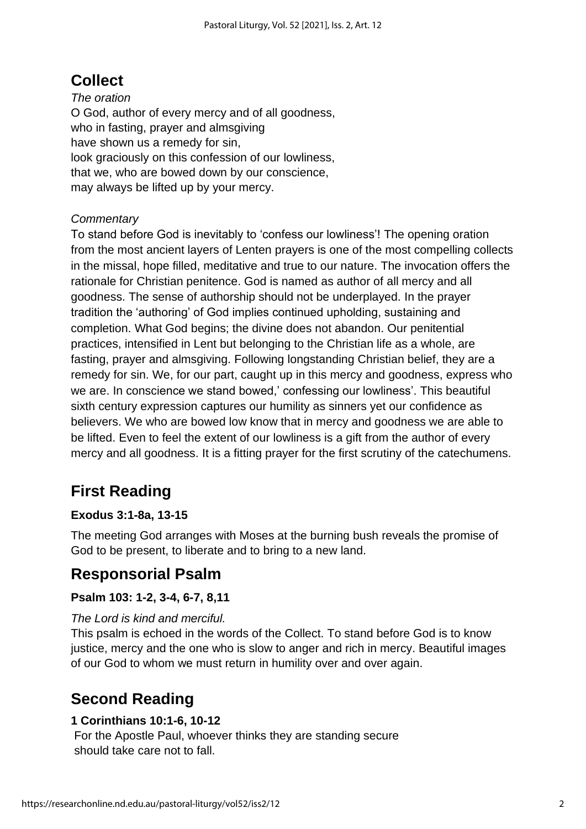### **Collect**

*The oration* O God, author of every mercy and of all goodness, who in fasting, prayer and almsgiving have shown us a remedy for sin, look graciously on this confession of our lowliness, that we, who are bowed down by our conscience, may always be lifted up by your mercy.

#### *Commentary*

To stand before God is inevitably to 'confess our lowliness'! The opening oration from the most ancient layers of Lenten prayers is one of the most compelling collects in the missal, hope filled, meditative and true to our nature. The invocation offers the rationale for Christian penitence. God is named as author of all mercy and all goodness. The sense of authorship should not be underplayed. In the prayer tradition the 'authoring' of God implies continued upholding, sustaining and completion. What God begins; the divine does not abandon. Our penitential practices, intensified in Lent but belonging to the Christian life as a whole, are fasting, prayer and almsgiving. Following longstanding Christian belief, they are a remedy for sin. We, for our part, caught up in this mercy and goodness, express who we are. In conscience we stand bowed,' confessing our lowliness'. This beautiful sixth century expression captures our humility as sinners yet our confidence as believers. We who are bowed low know that in mercy and goodness we are able to be lifted. Even to feel the extent of our lowliness is a gift from the author of every mercy and all goodness. It is a fitting prayer for the first scrutiny of the catechumens.

### **First Reading**

#### **Exodus 3:1-8a, 13-15**

The meeting God arranges with Moses at the burning bush reveals the promise of God to be present, to liberate and to bring to a new land.

### **Responsorial Psalm**

#### **Psalm 103: 1-2, 3-4, 6-7, 8,11**

#### *The Lord is kind and merciful.*

This psalm is echoed in the words of the Collect. To stand before God is to know justice, mercy and the one who is slow to anger and rich in mercy. Beautiful images of our God to whom we must return in humility over and over again.

### **Second Reading**

#### **1 Corinthians 10:1-6, 10-12**

For the Apostle Paul, whoever thinks they are standing secure should take care not to fall.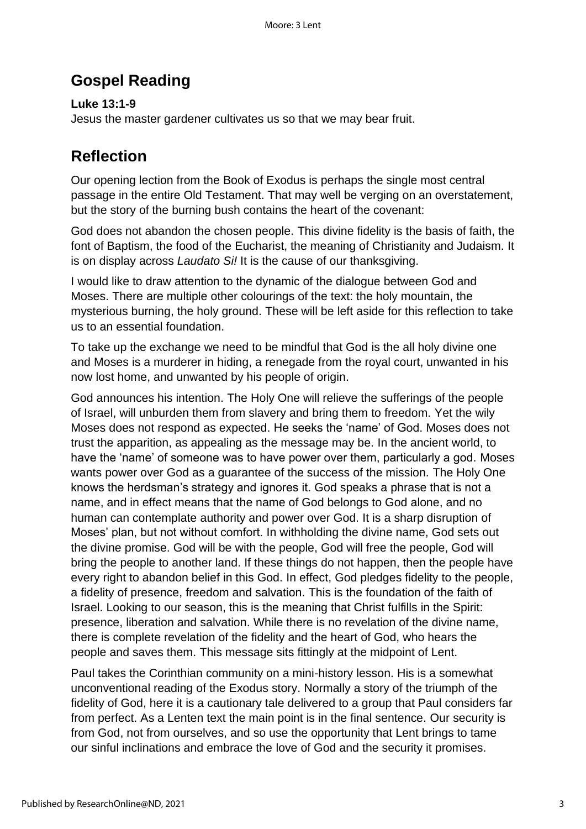### **Gospel Reading**

**Luke 13:1-9** Jesus the master gardener cultivates us so that we may bear fruit.

### **Reflection**

Our opening lection from the Book of Exodus is perhaps the single most central passage in the entire Old Testament. That may well be verging on an overstatement, but the story of the burning bush contains the heart of the covenant:

God does not abandon the chosen people. This divine fidelity is the basis of faith, the font of Baptism, the food of the Eucharist, the meaning of Christianity and Judaism. It is on display across *Laudato Si!* It is the cause of our thanksgiving.

I would like to draw attention to the dynamic of the dialogue between God and Moses. There are multiple other colourings of the text: the holy mountain, the mysterious burning, the holy ground. These will be left aside for this reflection to take us to an essential foundation.

To take up the exchange we need to be mindful that God is the all holy divine one and Moses is a murderer in hiding, a renegade from the royal court, unwanted in his now lost home, and unwanted by his people of origin.

God announces his intention. The Holy One will relieve the sufferings of the people of Israel, will unburden them from slavery and bring them to freedom. Yet the wily Moses does not respond as expected. He seeks the 'name' of God. Moses does not trust the apparition, as appealing as the message may be. In the ancient world, to have the 'name' of someone was to have power over them, particularly a god. Moses wants power over God as a guarantee of the success of the mission. The Holy One knows the herdsman's strategy and ignores it. God speaks a phrase that is not a name, and in effect means that the name of God belongs to God alone, and no human can contemplate authority and power over God. It is a sharp disruption of Moses' plan, but not without comfort. In withholding the divine name, God sets out the divine promise. God will be with the people, God will free the people, God will bring the people to another land. If these things do not happen, then the people have every right to abandon belief in this God. In effect, God pledges fidelity to the people, a fidelity of presence, freedom and salvation. This is the foundation of the faith of Israel. Looking to our season, this is the meaning that Christ fulfills in the Spirit: presence, liberation and salvation. While there is no revelation of the divine name, there is complete revelation of the fidelity and the heart of God, who hears the people and saves them. This message sits fittingly at the midpoint of Lent.

Paul takes the Corinthian community on a mini-history lesson. His is a somewhat unconventional reading of the Exodus story. Normally a story of the triumph of the fidelity of God, here it is a cautionary tale delivered to a group that Paul considers far from perfect. As a Lenten text the main point is in the final sentence. Our security is from God, not from ourselves, and so use the opportunity that Lent brings to tame our sinful inclinations and embrace the love of God and the security it promises.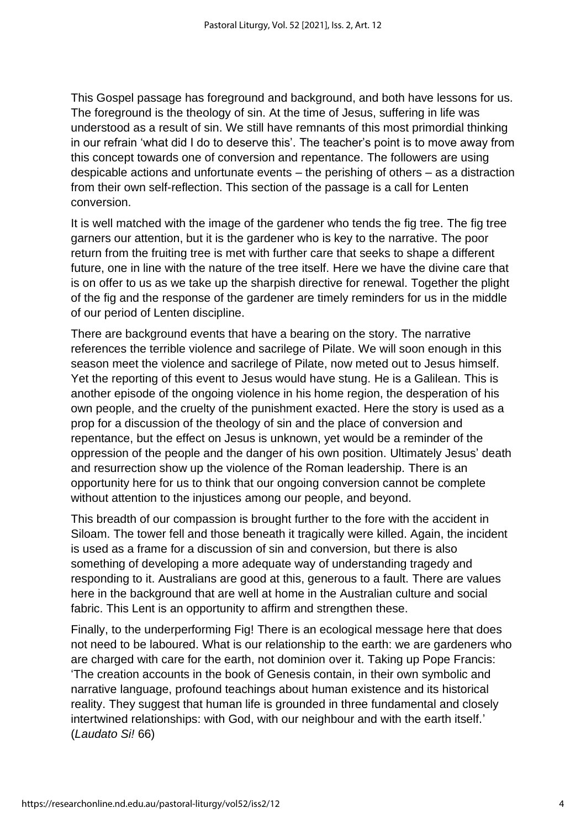This Gospel passage has foreground and background, and both have lessons for us. The foreground is the theology of sin. At the time of Jesus, suffering in life was understood as a result of sin. We still have remnants of this most primordial thinking in our refrain 'what did I do to deserve this'. The teacher's point is to move away from this concept towards one of conversion and repentance. The followers are using despicable actions and unfortunate events – the perishing of others – as a distraction from their own self-reflection. This section of the passage is a call for Lenten conversion.

It is well matched with the image of the gardener who tends the fig tree. The fig tree garners our attention, but it is the gardener who is key to the narrative. The poor return from the fruiting tree is met with further care that seeks to shape a different future, one in line with the nature of the tree itself. Here we have the divine care that is on offer to us as we take up the sharpish directive for renewal. Together the plight of the fig and the response of the gardener are timely reminders for us in the middle of our period of Lenten discipline.

There are background events that have a bearing on the story. The narrative references the terrible violence and sacrilege of Pilate. We will soon enough in this season meet the violence and sacrilege of Pilate, now meted out to Jesus himself. Yet the reporting of this event to Jesus would have stung. He is a Galilean. This is another episode of the ongoing violence in his home region, the desperation of his own people, and the cruelty of the punishment exacted. Here the story is used as a prop for a discussion of the theology of sin and the place of conversion and repentance, but the effect on Jesus is unknown, yet would be a reminder of the oppression of the people and the danger of his own position. Ultimately Jesus' death and resurrection show up the violence of the Roman leadership. There is an opportunity here for us to think that our ongoing conversion cannot be complete without attention to the injustices among our people, and beyond.

This breadth of our compassion is brought further to the fore with the accident in Siloam. The tower fell and those beneath it tragically were killed. Again, the incident is used as a frame for a discussion of sin and conversion, but there is also something of developing a more adequate way of understanding tragedy and responding to it. Australians are good at this, generous to a fault. There are values here in the background that are well at home in the Australian culture and social fabric. This Lent is an opportunity to affirm and strengthen these.

Finally, to the underperforming Fig! There is an ecological message here that does not need to be laboured. What is our relationship to the earth: we are gardeners who are charged with care for the earth, not dominion over it. Taking up Pope Francis: 'The creation accounts in the book of Genesis contain, in their own symbolic and narrative language, profound teachings about human existence and its historical reality. They suggest that human life is grounded in three fundamental and closely intertwined relationships: with God, with our neighbour and with the earth itself.' (*Laudato Si!* 66)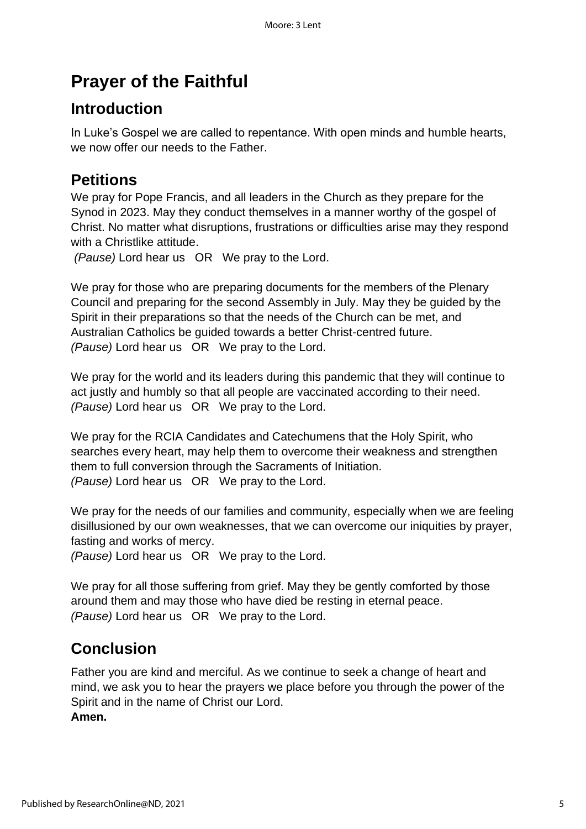## **Prayer of the Faithful**

### **Introduction**

In Luke's Gospel we are called to repentance. With open minds and humble hearts, we now offer our needs to the Father.

### **Petitions**

We pray for Pope Francis, and all leaders in the Church as they prepare for the Synod in 2023. May they conduct themselves in a manner worthy of the gospel of Christ. No matter what disruptions, frustrations or difficulties arise may they respond with a Christlike attitude.

*(Pause)* Lord hear us OR We pray to the Lord.

We pray for those who are preparing documents for the members of the Plenary Council and preparing for the second Assembly in July. May they be guided by the Spirit in their preparations so that the needs of the Church can be met, and Australian Catholics be guided towards a better Christ-centred future. *(Pause)* Lord hear us OR We pray to the Lord.

We pray for the world and its leaders during this pandemic that they will continue to act justly and humbly so that all people are vaccinated according to their need. *(Pause)* Lord hear us OR We pray to the Lord.

We pray for the RCIA Candidates and Catechumens that the Holy Spirit, who searches every heart, may help them to overcome their weakness and strengthen them to full conversion through the Sacraments of Initiation. *(Pause)* Lord hear us OR We pray to the Lord.

We pray for the needs of our families and community, especially when we are feeling disillusioned by our own weaknesses, that we can overcome our iniquities by prayer, fasting and works of mercy.

*(Pause)* Lord hear us OR We pray to the Lord.

We pray for all those suffering from grief. May they be gently comforted by those around them and may those who have died be resting in eternal peace. *(Pause)* Lord hear us OR We pray to the Lord.

### **Conclusion**

Father you are kind and merciful. As we continue to seek a change of heart and mind, we ask you to hear the prayers we place before you through the power of the Spirit and in the name of Christ our Lord. **Amen.**